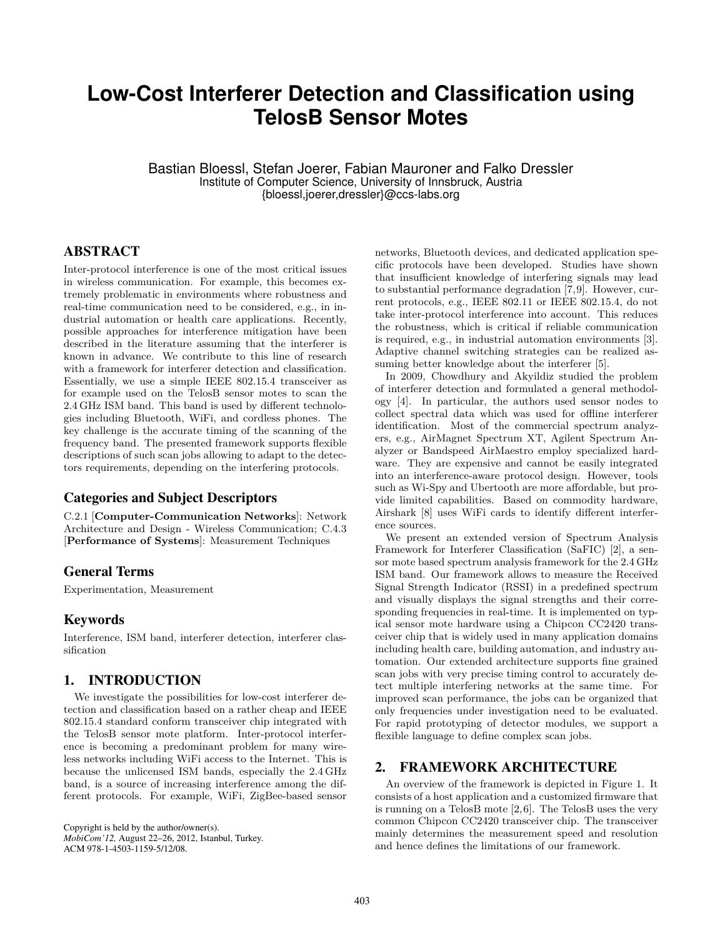# **Low-Cost Interferer Detection and Classification using TelosB Sensor Motes**

Bastian Bloessl, Stefan Joerer, Fabian Mauroner and Falko Dressler Institute of Computer Science, University of Innsbruck, Austria {bloessl,joerer,dressler}@ccs-labs.org

# ABSTRACT

Inter-protocol interference is one of the most critical issues in wireless communication. For example, this becomes extremely problematic in environments where robustness and real-time communication need to be considered, e.g., in industrial automation or health care applications. Recently, possible approaches for interference mitigation have been described in the literature assuming that the interferer is known in advance. We contribute to this line of research with a framework for interferer detection and classification. Essentially, we use a simple IEEE 802.15.4 transceiver as for example used on the TelosB sensor motes to scan the 2.4 GHz ISM band. This band is used by different technologies including Bluetooth, WiFi, and cordless phones. The key challenge is the accurate timing of the scanning of the frequency band. The presented framework supports flexible descriptions of such scan jobs allowing to adapt to the detectors requirements, depending on the interfering protocols.

#### Categories and Subject Descriptors

C.2.1 [**Computer-Communication Networks**]: Network Architecture and Design - Wireless Communication; C.4.3 [**Performance of Systems**]: Measurement Techniques

#### General Terms

Experimentation, Measurement

## Keywords

Interference, ISM band, interferer detection, interferer classification

## 1. INTRODUCTION

We investigate the possibilities for low-cost interferer detection and classification based on a rather cheap and IEEE 802.15.4 standard conform transceiver chip integrated with the TelosB sensor mote platform. Inter-protocol interference is becoming a predominant problem for many wireless networks including WiFi access to the Internet. This is because the unlicensed ISM bands, especially the 2.4 GHz band, is a source of increasing interference among the different protocols. For example, WiFi, ZigBee-based sensor

Copyright is held by the author/owner(s). *MobiCom'12,* August 22–26, 2012, Istanbul, Turkey. ACM 978-1-4503-1159-5/12/08.

networks, Bluetooth devices, and dedicated application specific protocols have been developed. Studies have shown that insufficient knowledge of interfering signals may lead to substantial performance degradation [7,9]. However, current protocols, e.g., IEEE 802.11 or IEEE 802.15.4, do not take inter-protocol interference into account. This reduces the robustness, which is critical if reliable communication is required, e.g., in industrial automation environments [3]. Adaptive channel switching strategies can be realized assuming better knowledge about the interferer [5].

In 2009, Chowdhury and Akyildiz studied the problem of interferer detection and formulated a general methodology [4]. In particular, the authors used sensor nodes to collect spectral data which was used for offline interferer identification. Most of the commercial spectrum analyzers, e.g., AirMagnet Spectrum XT, Agilent Spectrum Analyzer or Bandspeed AirMaestro employ specialized hardware. They are expensive and cannot be easily integrated into an interference-aware protocol design. However, tools such as Wi-Spy and Ubertooth are more affordable, but provide limited capabilities. Based on commodity hardware, Airshark [8] uses WiFi cards to identify different interference sources.

We present an extended version of Spectrum Analysis Framework for Interferer Classification (SaFIC) [2], a sensor mote based spectrum analysis framework for the 2.4 GHz ISM band. Our framework allows to measure the Received Signal Strength Indicator (RSSI) in a predefined spectrum and visually displays the signal strengths and their corresponding frequencies in real-time. It is implemented on typical sensor mote hardware using a Chipcon CC2420 transceiver chip that is widely used in many application domains including health care, building automation, and industry automation. Our extended architecture supports fine grained scan jobs with very precise timing control to accurately detect multiple interfering networks at the same time. For improved scan performance, the jobs can be organized that only frequencies under investigation need to be evaluated. For rapid prototyping of detector modules, we support a flexible language to define complex scan jobs.

#### 2. FRAMEWORK ARCHITECTURE

An overview of the framework is depicted in Figure 1. It consists of a host application and a customized firmware that is running on a TelosB mote [2,6]. The TelosB uses the very common Chipcon CC2420 transceiver chip. The transceiver mainly determines the measurement speed and resolution and hence defines the limitations of our framework.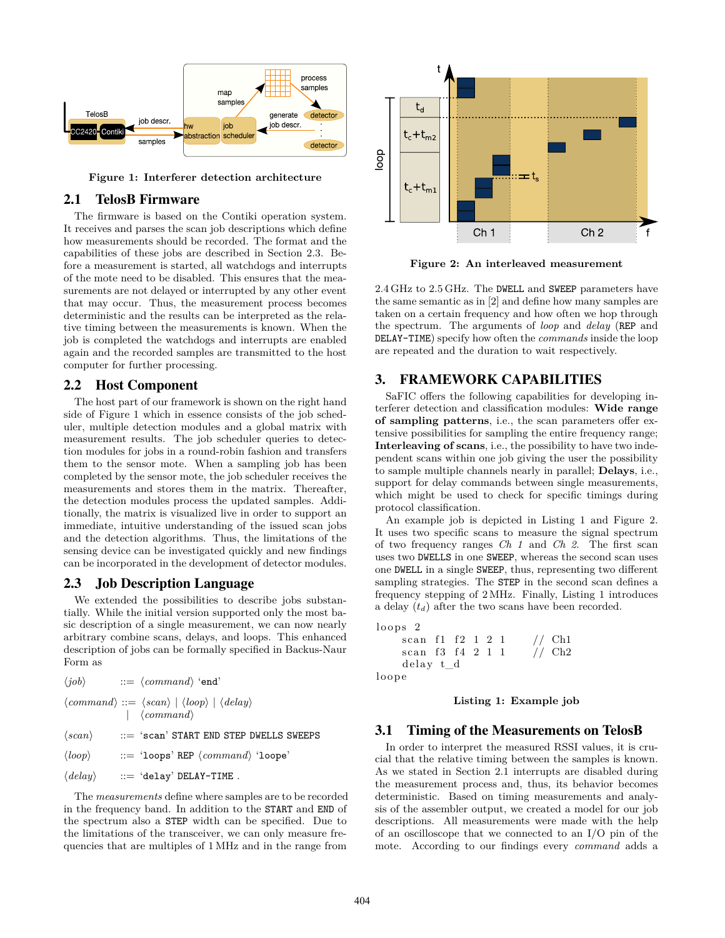

**Figure 1: Interferer detection architecture**

#### 2.1 TelosB Firmware

The firmware is based on the Contiki operation system. It receives and parses the scan job descriptions which define how measurements should be recorded. The format and the capabilities of these jobs are described in Section 2.3. Before a measurement is started, all watchdogs and interrupts of the mote need to be disabled. This ensures that the measurements are not delayed or interrupted by any other event that may occur. Thus, the measurement process becomes deterministic and the results can be interpreted as the relative timing between the measurements is known. When the job is completed the watchdogs and interrupts are enabled again and the recorded samples are transmitted to the host computer for further processing.

#### 2.2 Host Component

The host part of our framework is shown on the right hand side of Figure 1 which in essence consists of the job scheduler, multiple detection modules and a global matrix with measurement results. The job scheduler queries to detection modules for jobs in a round-robin fashion and transfers them to the sensor mote. When a sampling job has been completed by the sensor mote, the job scheduler receives the measurements and stores them in the matrix. Thereafter, the detection modules process the updated samples. Additionally, the matrix is visualized live in order to support an immediate, intuitive understanding of the issued scan jobs and the detection algorithms. Thus, the limitations of the sensing device can be investigated quickly and new findings can be incorporated in the development of detector modules.

#### 2.3 Job Description Language

We extended the possibilities to describe jobs substantially. While the initial version supported only the most basic description of a single measurement, we can now nearly arbitrary combine scans, delays, and loops. This enhanced description of jobs can be formally specified in Backus-Naur Form as

| $\langle job \rangle$ | $ ::= \langle command \rangle$ 'end'                                                                                                                                                                                                                                                                               |
|-----------------------|--------------------------------------------------------------------------------------------------------------------------------------------------------------------------------------------------------------------------------------------------------------------------------------------------------------------|
|                       | $\sqrt{2}$ $\sqrt{2}$ $\sqrt{2}$ $\sqrt{2}$ $\sqrt{2}$ $\sqrt{2}$ $\sqrt{2}$ $\sqrt{2}$ $\sqrt{2}$ $\sqrt{2}$ $\sqrt{2}$ $\sqrt{2}$ $\sqrt{2}$ $\sqrt{2}$ $\sqrt{2}$ $\sqrt{2}$ $\sqrt{2}$ $\sqrt{2}$ $\sqrt{2}$ $\sqrt{2}$ $\sqrt{2}$ $\sqrt{2}$ $\sqrt{2}$ $\sqrt{2}$ $\sqrt{2}$ $\sqrt{2}$ $\sqrt{2}$ $\sqrt{2$ |

 $\langle command \rangle ::= \langle scan \rangle | \langle loop \rangle | \langle delay \rangle$  $|\ \langle command \rangle$ 

- $\langle scan \rangle$  ::= 'scan' START END STEP DWELLS SWEEPS
- $\langle loop \rangle$  ::= 'loops' REP  $\langle command \rangle$  'loope'
- $\langle delay \rangle$  ::= 'delay' DELAY-TIME.

The *measurements* define where samples are to be recorded in the frequency band. In addition to the START and END of the spectrum also a STEP width can be specified. Due to the limitations of the transceiver, we can only measure frequencies that are multiples of 1 MHz and in the range from



**Figure 2: An interleaved measurement**

2.4 GHz to 2.5 GHz. The DWELL and SWEEP parameters have the same semantic as in [2] and define how many samples are taken on a certain frequency and how often we hop through the spectrum. The arguments of *loop* and *delay* (REP and DELAY-TIME) specify how often the *commands* inside the loop are repeated and the duration to wait respectively.

# 3. FRAMEWORK CAPABILITIES

SaFIC offers the following capabilities for developing interferer detection and classification modules: **Wide range of sampling patterns**, i.e., the scan parameters offer extensive possibilities for sampling the entire frequency range; **Interleaving of scans**, i.e., the possibility to have two independent scans within one job giving the user the possibility to sample multiple channels nearly in parallel; **Delays**, i.e., support for delay commands between single measurements, which might be used to check for specific timings during protocol classification.

An example job is depicted in Listing 1 and Figure 2. It uses two specific scans to measure the signal spectrum of two frequency ranges *Ch 1* and *Ch 2*. The first scan uses two DWELLS in one SWEEP, whereas the second scan uses one DWELL in a single SWEEP, thus, representing two different sampling strategies. The STEP in the second scan defines a frequency stepping of 2 MHz. Finally, Listing 1 introduces a delay  $(t_d)$  after the two scans have been recorded.

```
loops<sub>2</sub>
```
scan f1 f2 1 2 1  $//$  Ch1 scan f3 f4 2 1 1 // Ch2 delay t\_d

l o o p e

**Listing 1: Example job**

#### 3.1 Timing of the Measurements on TelosB

In order to interpret the measured RSSI values, it is crucial that the relative timing between the samples is known. As we stated in Section 2.1 interrupts are disabled during the measurement process and, thus, its behavior becomes deterministic. Based on timing measurements and analysis of the assembler output, we created a model for our job descriptions. All measurements were made with the help of an oscilloscope that we connected to an I/O pin of the mote. According to our findings every *command* adds a